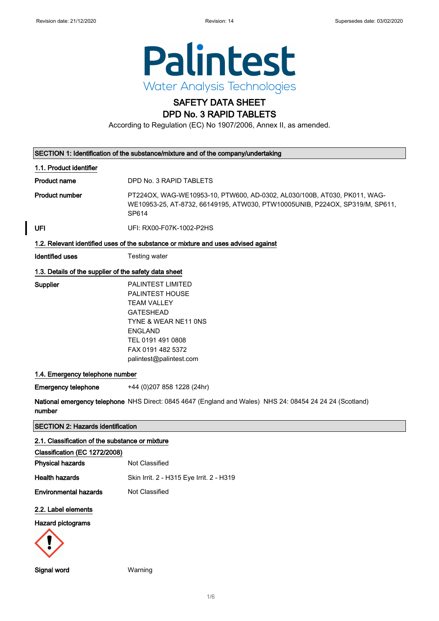

# SAFETY DATA SHEET

### DPD No. 3 RAPID TABLETS

According to Regulation (EC) No 1907/2006, Annex II, as amended.

|                                                       | SECTION 1: Identification of the substance/mixture and of the company/undertaking                                                                                                                           |  |  |
|-------------------------------------------------------|-------------------------------------------------------------------------------------------------------------------------------------------------------------------------------------------------------------|--|--|
| 1.1. Product identifier                               |                                                                                                                                                                                                             |  |  |
| <b>Product name</b>                                   | DPD No. 3 RAPID TABLETS                                                                                                                                                                                     |  |  |
| <b>Product number</b>                                 | PT224OX, WAG-WE10953-10, PTW600, AD-0302, AL030/100B, AT030, PK011, WAG-<br>WE10953-25, AT-8732, 66149195, ATW030, PTW10005UNIB, P224OX, SP319/M, SP611,<br>SP614                                           |  |  |
| <b>UFI</b>                                            | UFI: RX00-F07K-1002-P2HS                                                                                                                                                                                    |  |  |
|                                                       | 1.2. Relevant identified uses of the substance or mixture and uses advised against                                                                                                                          |  |  |
| <b>Identified uses</b>                                | Testing water                                                                                                                                                                                               |  |  |
| 1.3. Details of the supplier of the safety data sheet |                                                                                                                                                                                                             |  |  |
| Supplier                                              | <b>PALINTEST LIMITED</b><br><b>PALINTEST HOUSE</b><br><b>TEAM VALLEY</b><br><b>GATESHEAD</b><br>TYNE & WEAR NE11 ONS<br><b>ENGLAND</b><br>TEL 0191 491 0808<br>FAX 0191 482 5372<br>palintest@palintest.com |  |  |
| 1.4. Emergency telephone number                       |                                                                                                                                                                                                             |  |  |
| <b>Emergency telephone</b>                            | +44 (0)207 858 1228 (24hr)                                                                                                                                                                                  |  |  |
| number                                                | National emergency telephone NHS Direct: 0845 4647 (England and Wales) NHS 24: 08454 24 24 24 (Scotland)                                                                                                    |  |  |
| <b>SECTION 2: Hazards identification</b>              |                                                                                                                                                                                                             |  |  |
| 2.1. Classification of the substance or mixture       |                                                                                                                                                                                                             |  |  |
| Classification (EC 1272/2008)                         |                                                                                                                                                                                                             |  |  |
| <b>Physical hazards</b>                               | Not Classified                                                                                                                                                                                              |  |  |
| <b>Health hazards</b>                                 | Skin Irrit. 2 - H315 Eye Irrit. 2 - H319                                                                                                                                                                    |  |  |
| <b>Environmental hazards</b>                          | Not Classified                                                                                                                                                                                              |  |  |
| 2.2. Label elements                                   |                                                                                                                                                                                                             |  |  |
| <b>Hazard pictograms</b>                              |                                                                                                                                                                                                             |  |  |
|                                                       |                                                                                                                                                                                                             |  |  |
| Signal word                                           | Warning                                                                                                                                                                                                     |  |  |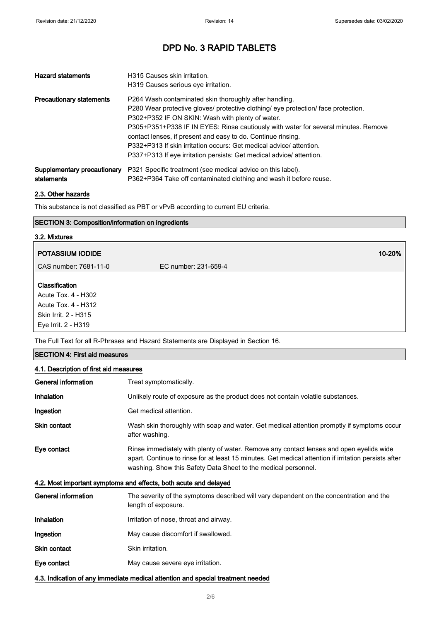| <b>Hazard statements</b>        | H315 Causes skin irritation.                                                       |
|---------------------------------|------------------------------------------------------------------------------------|
|                                 | H319 Causes serious eye irritation.                                                |
| <b>Precautionary statements</b> | P264 Wash contaminated skin thoroughly after handling.                             |
|                                 | P280 Wear protective gloves/ protective clothing/ eye protection/ face protection. |
|                                 | P302+P352 IF ON SKIN: Wash with plenty of water.                                   |
|                                 | P305+P351+P338 IF IN EYES: Rinse cautiously with water for several minutes. Remove |
|                                 | contact lenses, if present and easy to do. Continue rinsing.                       |
|                                 | P332+P313 If skin irritation occurs: Get medical advice/attention.                 |
|                                 | P337+P313 If eye irritation persists: Get medical advice/ attention.               |
| Supplementary precautionary     | P321 Specific treatment (see medical advice on this label).                        |
| statements                      | P362+P364 Take off contaminated clothing and wash it before reuse.                 |

### 2.3. Other hazards

This substance is not classified as PBT or vPvB according to current EU criteria.

### SECTION 3: Composition/information on ingredients

# 3.2. Mixtures **POTASSIUM IODIDE 10-20%** and the set of the set of the set of the set of the set of the set of the set of the set of the set of the set of the set of the set of the set of the set of the set of the set of the set of the s CAS number: 7681-11-0 EC number: 231-659-4 Classification Acute Tox. 4 - H302 Acute Tox. 4 - H312 Skin Irrit. 2 - H315

Eye Irrit. 2 - H319 The Full Text for all R-Phrases and Hazard Statements are Displayed in Section 16.

| <b>SECTION 4: First aid measures</b>                                            |                                                                                                                                                                                                                                                                   |  |  |
|---------------------------------------------------------------------------------|-------------------------------------------------------------------------------------------------------------------------------------------------------------------------------------------------------------------------------------------------------------------|--|--|
|                                                                                 | 4.1. Description of first aid measures                                                                                                                                                                                                                            |  |  |
| <b>General information</b>                                                      | Treat symptomatically.                                                                                                                                                                                                                                            |  |  |
| Inhalation                                                                      | Unlikely route of exposure as the product does not contain volatile substances.                                                                                                                                                                                   |  |  |
| Ingestion                                                                       | Get medical attention.                                                                                                                                                                                                                                            |  |  |
| <b>Skin contact</b>                                                             | Wash skin thoroughly with soap and water. Get medical attention promptly if symptoms occur<br>after washing.                                                                                                                                                      |  |  |
| Eye contact                                                                     | Rinse immediately with plenty of water. Remove any contact lenses and open eyelids wide<br>apart. Continue to rinse for at least 15 minutes. Get medical attention if irritation persists after<br>washing. Show this Safety Data Sheet to the medical personnel. |  |  |
|                                                                                 | 4.2. Most important symptoms and effects, both acute and delayed                                                                                                                                                                                                  |  |  |
| <b>General information</b>                                                      | The severity of the symptoms described will vary dependent on the concentration and the<br>length of exposure.                                                                                                                                                    |  |  |
| Inhalation                                                                      | Irritation of nose, throat and airway.                                                                                                                                                                                                                            |  |  |
| Ingestion                                                                       | May cause discomfort if swallowed.                                                                                                                                                                                                                                |  |  |
| <b>Skin contact</b>                                                             | Skin irritation.                                                                                                                                                                                                                                                  |  |  |
| Eye contact                                                                     | May cause severe eye irritation.                                                                                                                                                                                                                                  |  |  |
| 4.3. Indication of any immediate medical attention and special treatment needed |                                                                                                                                                                                                                                                                   |  |  |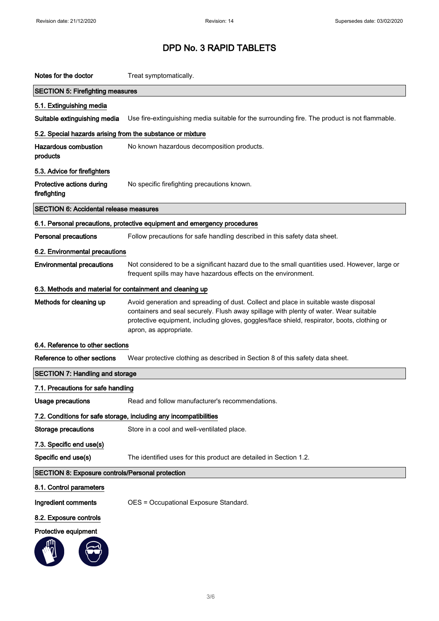| Notes for the doctor                                       | Treat symptomatically.                                                                                                                                                                                                                                                                                 |
|------------------------------------------------------------|--------------------------------------------------------------------------------------------------------------------------------------------------------------------------------------------------------------------------------------------------------------------------------------------------------|
| <b>SECTION 5: Firefighting measures</b>                    |                                                                                                                                                                                                                                                                                                        |
| 5.1. Extinguishing media                                   |                                                                                                                                                                                                                                                                                                        |
| Suitable extinguishing media                               | Use fire-extinguishing media suitable for the surrounding fire. The product is not flammable.                                                                                                                                                                                                          |
| 5.2. Special hazards arising from the substance or mixture |                                                                                                                                                                                                                                                                                                        |
| <b>Hazardous combustion</b><br>products                    | No known hazardous decomposition products.                                                                                                                                                                                                                                                             |
| 5.3. Advice for firefighters                               |                                                                                                                                                                                                                                                                                                        |
| Protective actions during<br>firefighting                  | No specific firefighting precautions known.                                                                                                                                                                                                                                                            |
| <b>SECTION 6: Accidental release measures</b>              |                                                                                                                                                                                                                                                                                                        |
|                                                            | 6.1. Personal precautions, protective equipment and emergency procedures                                                                                                                                                                                                                               |
| <b>Personal precautions</b>                                | Follow precautions for safe handling described in this safety data sheet.                                                                                                                                                                                                                              |
| 6.2. Environmental precautions                             |                                                                                                                                                                                                                                                                                                        |
| <b>Environmental precautions</b>                           | Not considered to be a significant hazard due to the small quantities used. However, large or<br>frequent spills may have hazardous effects on the environment.                                                                                                                                        |
| 6.3. Methods and material for containment and cleaning up  |                                                                                                                                                                                                                                                                                                        |
| Methods for cleaning up                                    | Avoid generation and spreading of dust. Collect and place in suitable waste disposal<br>containers and seal securely. Flush away spillage with plenty of water. Wear suitable<br>protective equipment, including gloves, goggles/face shield, respirator, boots, clothing or<br>apron, as appropriate. |
| 6.4. Reference to other sections                           |                                                                                                                                                                                                                                                                                                        |
| Reference to other sections                                | Wear protective clothing as described in Section 8 of this safety data sheet.                                                                                                                                                                                                                          |
| <b>SECTION 7: Handling and storage</b>                     |                                                                                                                                                                                                                                                                                                        |
| 7.1. Precautions for safe handling                         |                                                                                                                                                                                                                                                                                                        |
| Usage precautions                                          | Read and follow manufacturer's recommendations.                                                                                                                                                                                                                                                        |
|                                                            | 7.2. Conditions for safe storage, including any incompatibilities                                                                                                                                                                                                                                      |
| Storage precautions                                        | Store in a cool and well-ventilated place.                                                                                                                                                                                                                                                             |
| 7.3. Specific end use(s)                                   |                                                                                                                                                                                                                                                                                                        |
| Specific end use(s)                                        | The identified uses for this product are detailed in Section 1.2.                                                                                                                                                                                                                                      |
| SECTION 8: Exposure controls/Personal protection           |                                                                                                                                                                                                                                                                                                        |
| 8.1. Control parameters                                    |                                                                                                                                                                                                                                                                                                        |
| Ingredient comments                                        | OES = Occupational Exposure Standard.                                                                                                                                                                                                                                                                  |
| 8.2. Exposure controls                                     |                                                                                                                                                                                                                                                                                                        |
| Protective equipment                                       |                                                                                                                                                                                                                                                                                                        |
|                                                            |                                                                                                                                                                                                                                                                                                        |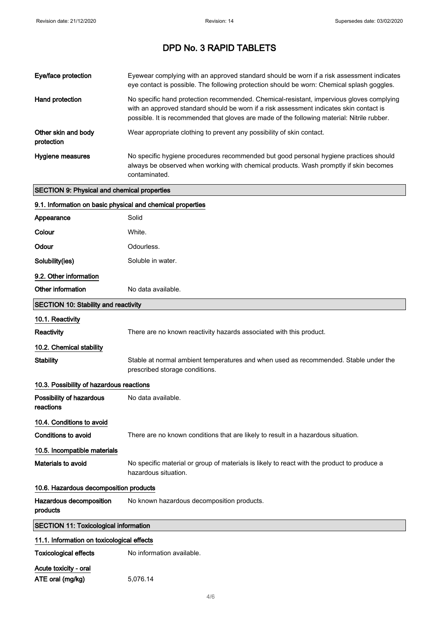| Eye/face protection                                | Eyewear complying with an approved standard should be worn if a risk assessment indicates<br>eye contact is possible. The following protection should be worn: Chemical splash goggles.                                                                                            |
|----------------------------------------------------|------------------------------------------------------------------------------------------------------------------------------------------------------------------------------------------------------------------------------------------------------------------------------------|
| Hand protection                                    | No specific hand protection recommended. Chemical-resistant, impervious gloves complying<br>with an approved standard should be worn if a risk assessment indicates skin contact is<br>possible. It is recommended that gloves are made of the following material: Nitrile rubber. |
| Other skin and body<br>protection                  | Wear appropriate clothing to prevent any possibility of skin contact.                                                                                                                                                                                                              |
| Hygiene measures                                   | No specific hygiene procedures recommended but good personal hygiene practices should<br>always be observed when working with chemical products. Wash promptly if skin becomes<br>contaminated.                                                                                    |
| <b>SECTION 9: Physical and chemical properties</b> |                                                                                                                                                                                                                                                                                    |
|                                                    | 9.1. Information on basic physical and chemical properties                                                                                                                                                                                                                         |
| Appearance                                         | Solid                                                                                                                                                                                                                                                                              |
| Colour                                             | White.                                                                                                                                                                                                                                                                             |
| Odour                                              | Odourless.                                                                                                                                                                                                                                                                         |
| Solubility(ies)                                    | Soluble in water.                                                                                                                                                                                                                                                                  |
| 9.2. Other information                             |                                                                                                                                                                                                                                                                                    |
| Other information                                  | No data available.                                                                                                                                                                                                                                                                 |

| <b>SECTION 10: Stability and reactivity</b>  |                                                                                                                        |  |
|----------------------------------------------|------------------------------------------------------------------------------------------------------------------------|--|
| 10.1. Reactivity                             |                                                                                                                        |  |
| <b>Reactivity</b>                            | There are no known reactivity hazards associated with this product.                                                    |  |
| 10.2. Chemical stability                     |                                                                                                                        |  |
| <b>Stability</b>                             | Stable at normal ambient temperatures and when used as recommended. Stable under the<br>prescribed storage conditions. |  |
| 10.3. Possibility of hazardous reactions     |                                                                                                                        |  |
| Possibility of hazardous<br>reactions        | No data available.                                                                                                     |  |
| 10.4. Conditions to avoid                    |                                                                                                                        |  |
| Conditions to avoid                          | There are no known conditions that are likely to result in a hazardous situation.                                      |  |
| 10.5. Incompatible materials                 |                                                                                                                        |  |
| Materials to avoid                           | No specific material or group of materials is likely to react with the product to produce a<br>hazardous situation.    |  |
| 10.6. Hazardous decomposition products       |                                                                                                                        |  |
| Hazardous decomposition<br>products          | No known hazardous decomposition products.                                                                             |  |
| <b>SECTION 11: Toxicological information</b> |                                                                                                                        |  |

| <b>SECTION 11: Toxicological information</b><br>11.1. Information on toxicological effects |          |                              |
|--------------------------------------------------------------------------------------------|----------|------------------------------|
|                                                                                            |          | <b>Toxicological effects</b> |
| Acute toxicity - oral                                                                      |          |                              |
| ATE oral (mg/kg)                                                                           | 5,076.14 |                              |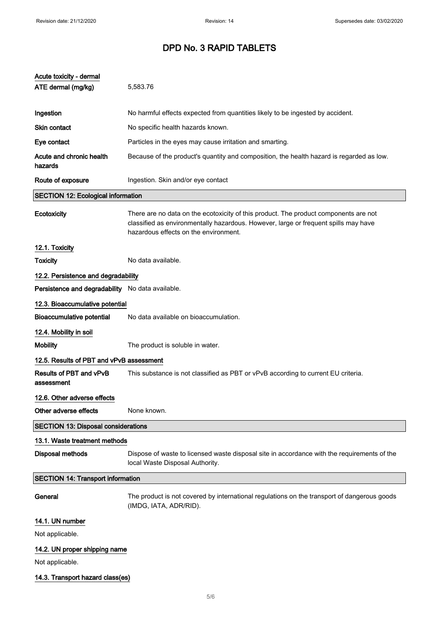| Acute toxicity - dermal                          |                                                                                                                                                                                                                      |  |
|--------------------------------------------------|----------------------------------------------------------------------------------------------------------------------------------------------------------------------------------------------------------------------|--|
| ATE dermal (mg/kg)                               | 5,583.76                                                                                                                                                                                                             |  |
|                                                  |                                                                                                                                                                                                                      |  |
| Ingestion                                        | No harmful effects expected from quantities likely to be ingested by accident.                                                                                                                                       |  |
| <b>Skin contact</b>                              | No specific health hazards known.                                                                                                                                                                                    |  |
| Eye contact                                      | Particles in the eyes may cause irritation and smarting.                                                                                                                                                             |  |
| Acute and chronic health<br>hazards              | Because of the product's quantity and composition, the health hazard is regarded as low.                                                                                                                             |  |
| Route of exposure                                | Ingestion. Skin and/or eye contact                                                                                                                                                                                   |  |
| <b>SECTION 12: Ecological information</b>        |                                                                                                                                                                                                                      |  |
| Ecotoxicity                                      | There are no data on the ecotoxicity of this product. The product components are not<br>classified as environmentally hazardous. However, large or frequent spills may have<br>hazardous effects on the environment. |  |
| 12.1. Toxicity                                   |                                                                                                                                                                                                                      |  |
| <b>Toxicity</b>                                  | No data available.                                                                                                                                                                                                   |  |
| 12.2. Persistence and degradability              |                                                                                                                                                                                                                      |  |
| Persistence and degradability No data available. |                                                                                                                                                                                                                      |  |
| 12.3. Bioaccumulative potential                  |                                                                                                                                                                                                                      |  |
| <b>Bioaccumulative potential</b>                 | No data available on bioaccumulation.                                                                                                                                                                                |  |
| 12.4. Mobility in soil                           |                                                                                                                                                                                                                      |  |
| <b>Mobility</b>                                  | The product is soluble in water.                                                                                                                                                                                     |  |
| 12.5. Results of PBT and vPvB assessment         |                                                                                                                                                                                                                      |  |
| Results of PBT and vPvB<br>assessment            | This substance is not classified as PBT or vPvB according to current EU criteria.                                                                                                                                    |  |
| 12.6. Other adverse effects                      |                                                                                                                                                                                                                      |  |
| Other adverse effects                            | None known.                                                                                                                                                                                                          |  |
| <b>SECTION 13: Disposal considerations</b>       |                                                                                                                                                                                                                      |  |
| 13.1. Waste treatment methods                    |                                                                                                                                                                                                                      |  |
| <b>Disposal methods</b>                          | Dispose of waste to licensed waste disposal site in accordance with the requirements of the<br>local Waste Disposal Authority.                                                                                       |  |
| <b>SECTION 14: Transport information</b>         |                                                                                                                                                                                                                      |  |
| General                                          | The product is not covered by international regulations on the transport of dangerous goods<br>(IMDG, IATA, ADR/RID).                                                                                                |  |
| 14.1. UN number                                  |                                                                                                                                                                                                                      |  |
| Not applicable.                                  |                                                                                                                                                                                                                      |  |
| 14.2. UN proper shipping name                    |                                                                                                                                                                                                                      |  |
| Not applicable.                                  |                                                                                                                                                                                                                      |  |
| 14.3. Transport hazard class(es)                 |                                                                                                                                                                                                                      |  |